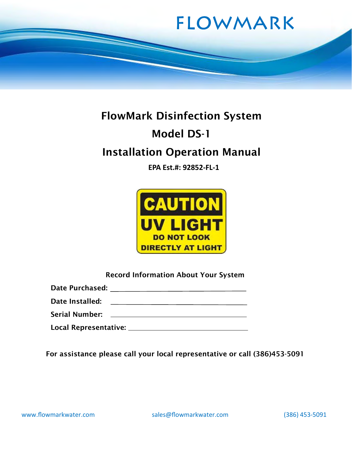

# FlowMark Disinfection System Model DS-1 Installation Operation Manual

EPA Est.#: 92852-FL-1



Record Information About Your System

Date Purchased:

Date Installed: The *Date Installed*:

Serial Number:

Local Representative:

For assistance please call your local representative or call (386)453-5091

www.flowmarkwater.com sales@flowmarkwater.com (386) 453-5091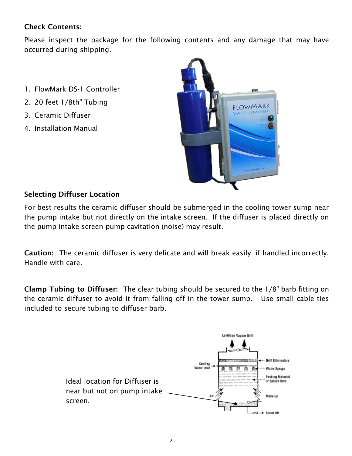# Check Contents:

Please inspect the package for the following contents and any damage that may have occurred during shipping.

- 1. FlowMark DS-1 Controller
- 2. 20 feet 1/8th" Tubing
- 3. Ceramic Diffuser
- 4. Installation Manual



# Selecting Diffuser Location

For best results the ceramic diffuser should be submerged in the cooling tower sump near the pump intake but not directly on the intake screen. If the diffuser is placed directly on the pump intake screen pump cavitation (noise) may result.

Caution: The ceramic diffuser is very delicate and will break easily if handled incorrectly. Handle with care.

Clamp Tubing to Diffuser: The clear tubing should be secured to the 1/8" barb fitting on the ceramic diffuser to avoid it from falling off in the tower sump. Use small cable ties included to secure tubing to diffuser barb.

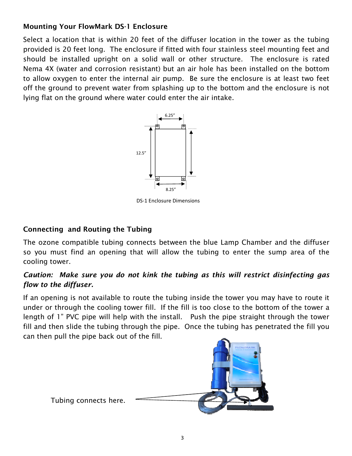# Mounting Your FlowMark DS-1 Enclosure

Select a location that is within 20 feet of the diffuser location in the tower as the tubing provided is 20 feet long. The enclosure if fitted with four stainless steel mounting feet and should be installed upright on a solid wall or other structure. The enclosure is rated Nema 4X (water and corrosion resistant) but an air hole has been installed on the bottom to allow oxygen to enter the internal air pump. Be sure the enclosure is at least two feet off the ground to prevent water from splashing up to the bottom and the enclosure is not lying flat on the ground where water could enter the air intake.



DS-1 Enclosure Dimensions

# Connecting and Routing the Tubing

The ozone compatible tubing connects between the blue Lamp Chamber and the diffuser so you must find an opening that will allow the tubing to enter the sump area of the cooling tower.

## Caution: Make sure you do not kink the tubing as this will restrict disinfecting gas flow to the diffuser.

If an opening is not available to route the tubing inside the tower you may have to route it under or through the cooling tower fill. If the fill is too close to the bottom of the tower a length of 1" PVC pipe will help with the install. Push the pipe straight through the tower fill and then slide the tubing through the pipe. Once the tubing has penetrated the fill you can then pull the pipe back out of the fill.



Tubing connects here.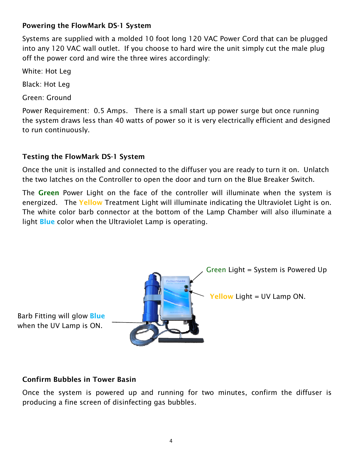#### Powering the FlowMark DS-1 System

Systems are supplied with a molded 10 foot long 120 VAC Power Cord that can be plugged into any 120 VAC wall outlet. If you choose to hard wire the unit simply cut the male plug off the power cord and wire the three wires accordingly:

White: Hot Leg

Black: Hot Leg

Green: Ground

Power Requirement: 0.5 Amps. There is a small start up power surge but once running the system draws less than 40 watts of power so it is very electrically efficient and designed to run continuously.

#### Testing the FlowMark DS-1 System

Once the unit is installed and connected to the diffuser you are ready to turn it on. Unlatch the two latches on the Controller to open the door and turn on the Blue Breaker Switch.

The Green Power Light on the face of the controller will illuminate when the system is energized. The Yellow Treatment Light will illuminate indicating the Ultraviolet Light is on. The white color barb connector at the bottom of the Lamp Chamber will also illuminate a light **Blue** color when the Ultraviolet Lamp is operating.



#### Confirm Bubbles in Tower Basin

Once the system is powered up and running for two minutes, confirm the diffuser is producing a fine screen of disinfecting gas bubbles.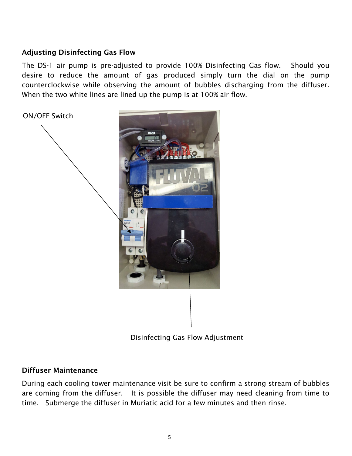#### Adjusting Disinfecting Gas Flow

The DS-1 air pump is pre-adjusted to provide 100% Disinfecting Gas flow. Should you desire to reduce the amount of gas produced simply turn the dial on the pump counterclockwise while observing the amount of bubbles discharging from the diffuser. When the two white lines are lined up the pump is at 100% air flow.

ON/OFF Switch

Disinfecting Gas Flow Adjustment

#### Diffuser Maintenance

During each cooling tower maintenance visit be sure to confirm a strong stream of bubbles are coming from the diffuser. It is possible the diffuser may need cleaning from time to time. Submerge the diffuser in Muriatic acid for a few minutes and then rinse.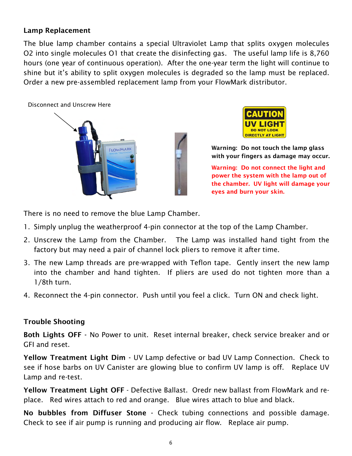#### Lamp Replacement

The blue lamp chamber contains a special Ultraviolet Lamp that splits oxygen molecules O2 into single molecules O1 that create the disinfecting gas. The useful lamp life is 8,760 hours (one year of continuous operation). After the one-year term the light will continue to shine but it's ability to split oxygen molecules is degraded so the lamp must be replaced. Order a new pre-assembled replacement lamp from your FlowMark distributor.





Warning: Do not touch the lamp glass with your fingers as damage may occur.

Warning: Do not connect the light and power the system with the lamp out of the chamber. UV light will damage your eyes and burn your skin.

There is no need to remove the blue Lamp Chamber.

- 1. Simply unplug the weatherproof 4-pin connector at the top of the Lamp Chamber.
- 2. Unscrew the Lamp from the Chamber. The Lamp was installed hand tight from the factory but may need a pair of channel lock pliers to remove it after time.
- 3. The new Lamp threads are pre-wrapped with Teflon tape. Gently insert the new lamp into the chamber and hand tighten. If pliers are used do not tighten more than a 1/8th turn.
- 4. Reconnect the 4-pin connector. Push until you feel a click. Turn ON and check light.

#### Trouble Shooting

Both Lights OFF - No Power to unit. Reset internal breaker, check service breaker and or GFI and reset.

Yellow Treatment Light Dim - UV Lamp defective or bad UV Lamp Connection. Check to see if hose barbs on UV Canister are glowing blue to confirm UV lamp is off. Replace UV Lamp and re-test.

Yellow Treatment Light OFF - Defective Ballast. Oredr new ballast from FlowMark and replace. Red wires attach to red and orange. Blue wires attach to blue and black.

No bubbles from Diffuser Stone - Check tubing connections and possible damage. Check to see if air pump is running and producing air flow. Replace air pump.